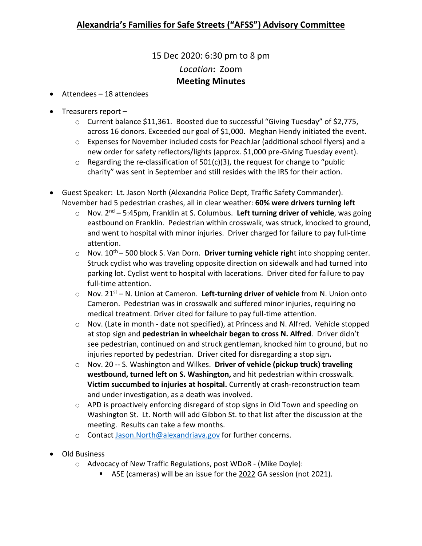## 15 Dec 2020: 6:30 pm to 8 pm *Location***:** Zoom **Meeting Minutes**

- Attendees 18 attendees
- Treasurers report
	- o Current balance \$11,361. Boosted due to successful "Giving Tuesday" of \$2,775, across 16 donors. Exceeded our goal of \$1,000. Meghan Hendy initiated the event.
	- o Expenses for November included costs for PeachJar (additional school flyers) and a new order for safety reflectors/lights (approx. \$1,000 pre-Giving Tuesday event).
	- $\circ$  Regarding the re-classification of 501(c)(3), the request for change to "public charity" was sent in September and still resides with the IRS for their action.
- Guest Speaker: Lt. Jason North (Alexandria Police Dept, Traffic Safety Commander). November had 5 pedestrian crashes, all in clear weather: **60% were drivers turning left**
	- o Nov. 2nd 5:45pm, Franklin at S. Columbus. **Left turning driver of vehicle**, was going eastbound on Franklin. Pedestrian within crosswalk, was struck, knocked to ground, and went to hospital with minor injuries. Driver charged for failure to pay full-time attention.
	- o Nov. 10th 500 block S. Van Dorn. **Driver turning vehicle righ**t into shopping center. Struck cyclist who was traveling opposite direction on sidewalk and had turned into parking lot. Cyclist went to hospital with lacerations. Driver cited for failure to pay full-time attention.
	- o Nov. 21st N. Union at Cameron. **Left-turning driver of vehicle** from N. Union onto Cameron. Pedestrian was in crosswalk and suffered minor injuries, requiring no medical treatment. Driver cited for failure to pay full-time attention.
	- o Nov. (Late in month date not specified), at Princess and N. Alfred. Vehicle stopped at stop sign and **pedestrian in wheelchair began to cross N. Alfred**. Driver didn't see pedestrian, continued on and struck gentleman, knocked him to ground, but no injuries reported by pedestrian. Driver cited for disregarding a stop sign**.**
	- o Nov. 20 -- S. Washington and Wilkes. **Driver of vehicle (pickup truck) traveling westbound, turned left on S. Washington,** and hit pedestrian within crosswalk. **Victim succumbed to injuries at hospital.** Currently at crash-reconstruction team and under investigation, as a death was involved.
	- $\circ$  APD is proactively enforcing disregard of stop signs in Old Town and speeding on Washington St. Lt. North will add Gibbon St. to that list after the discussion at the meeting. Results can take a few months.
	- o Contact [Jason.North@alexandriava.gov](mailto:Jason.North@alexandriava.gov) for further concerns.
- Old Business
	- o Advocacy of New Traffic Regulations, post WDoR (Mike Doyle):
		- ASE (cameras) will be an issue for the 2022 GA session (not 2021).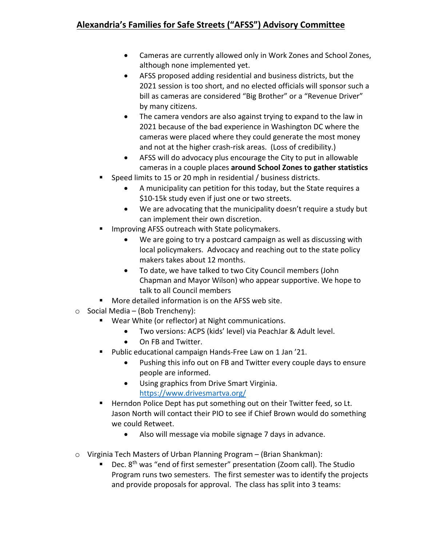- Cameras are currently allowed only in Work Zones and School Zones, although none implemented yet.
- AFSS proposed adding residential and business districts, but the 2021 session is too short, and no elected officials will sponsor such a bill as cameras are considered "Big Brother" or a "Revenue Driver" by many citizens.
- The camera vendors are also against trying to expand to the law in 2021 because of the bad experience in Washington DC where the cameras were placed where they could generate the most money and not at the higher crash-risk areas. (Loss of credibility.)
- AFSS will do advocacy plus encourage the City to put in allowable cameras in a couple places **around School Zones to gather statistics**
- Speed limits to 15 or 20 mph in residential / business districts.
	- A municipality can petition for this today, but the State requires a \$10-15k study even if just one or two streets.
	- We are advocating that the municipality doesn't require a study but can implement their own discretion.
- Improving AFSS outreach with State policymakers.
	- We are going to try a postcard campaign as well as discussing with local policymakers. Advocacy and reaching out to the state policy makers takes about 12 months.
	- To date, we have talked to two City Council members (John Chapman and Mayor Wilson) who appear supportive. We hope to talk to all Council members
- **More detailed information is on the AFSS web site.**
- $\circ$  Social Media (Bob Trencheny):
	- Wear White (or reflector) at Night communications.
		- Two versions: ACPS (kids' level) via PeachJar & Adult level.
		- On FB and Twitter.
	- **Public educational campaign Hands-Free Law on 1 Jan '21.** 
		- Pushing this info out on FB and Twitter every couple days to ensure people are informed.
		- Using graphics from Drive Smart Virginia. <https://www.drivesmartva.org/>
	- **Herndon Police Dept has put something out on their Twitter feed, so Lt.** Jason North will contact their PIO to see if Chief Brown would do something we could Retweet.
		- Also will message via mobile signage 7 days in advance.
- o Virginia Tech Masters of Urban Planning Program (Brian Shankman):
	- **Dec.** 8<sup>th</sup> was "end of first semester" presentation (Zoom call). The Studio Program runs two semesters. The first semester was to identify the projects and provide proposals for approval. The class has split into 3 teams: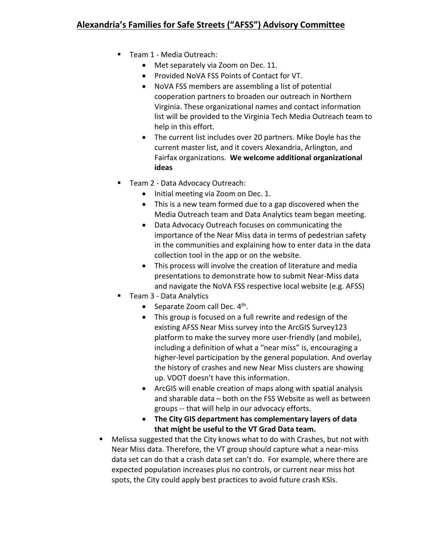## **Alexandria's Families for Safe Streets ("AFSS") Advisory Committee**

- Team 1 Media Outreach:
	- Met separately via Zoom on Dec. 11.
	- Provided NoVA FSS Points of Contact for VT.
	- NoVA FSS members are assembling a list of potential cooperation partners to broaden our outreach in Northern Virginia. These organizational names and contact information list will be provided to the Virginia Tech Media Outreach team to help in this effort.
	- The current list includes over 20 partners. Mike Doyle has the current master list, and it covers Alexandria, Arlington, and Fairfax organizations. **We welcome additional organizational ideas**
- Team 2 Data Advocacy Outreach:
	- Initial meeting via Zoom on Dec. 1.
	- This is a new team formed due to a gap discovered when the Media Outreach team and Data Analytics team began meeting.
	- Data Advocacy Outreach focuses on communicating the importance of the Near Miss data in terms of pedestrian safety in the communities and explaining how to enter data in the data collection tool in the app or on the website.
	- This process will involve the creation of literature and media presentations to demonstrate how to submit Near-Miss data and navigate the NoVA FSS respective local website (e.g. AFSS)
- Team 3 Data Analytics
	- Separate Zoom call Dec. 4<sup>th</sup>.
	- This group is focused on a full rewrite and redesign of the existing AFSS Near Miss survey into the ArcGIS Survey123 platform to make the survey more user-friendly (and mobile), including a definition of what a "near miss" is, encouraging a higher-level participation by the general population. And overlay the history of crashes and new Near Miss clusters are showing up. VDOT doesn't have this information.
	- ArcGIS will enable creation of maps along with spatial analysis and sharable data – both on the FSS Website as well as between groups -- that will help in our advocacy efforts.
	- **The City GIS department has complementary layers of data that might be useful to the VT Grad Data team.**
- Melissa suggested that the City knows what to do with Crashes, but not with Near Miss data. Therefore, the VT group should capture what a near-miss data set can do that a crash data set can't do. For example, where there are expected population increases plus no controls, or current near miss hot spots, the City could apply best practices to avoid future crash KSIs.